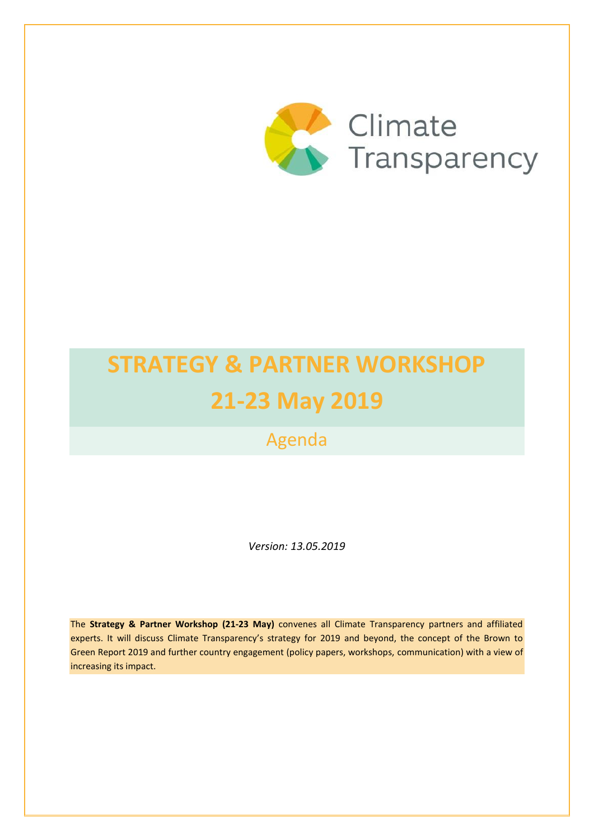

# **STRATEGY & PARTNER WORKSHOP 21-23 May 2019**

Agenda

*Version: 13.05.2019*

The **Strategy & Partner Workshop (21-23 May)** convenes all Climate Transparency partners and affiliated experts. It will discuss Climate Transparency's strategy for 2019 and beyond, the concept of the Brown to Green Report 2019 and further country engagement (policy papers, workshops, communication) with a view of increasing its impact.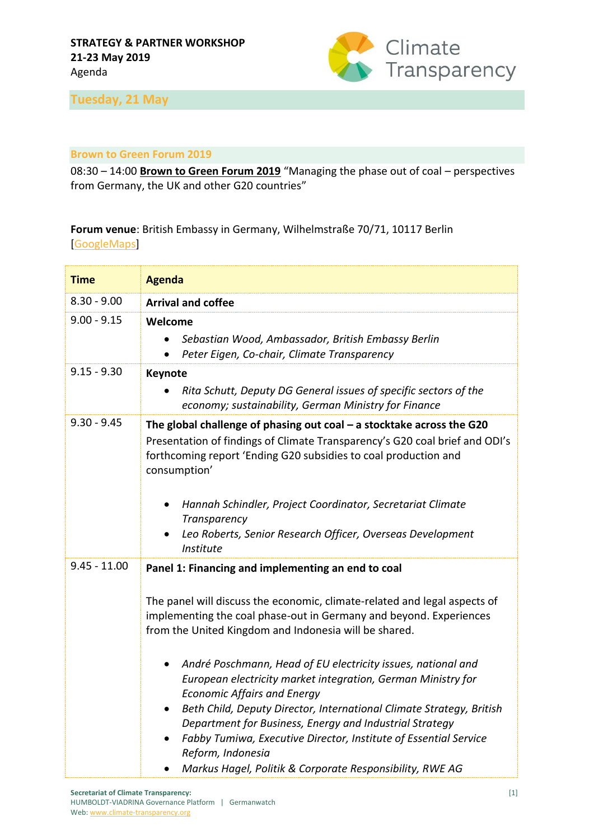

# **Tuesday, 21 May**

#### **Brown to Green Forum 2019**

08:30 – 14:00 **Brown to Green Forum 2019** "Managing the phase out of coal – perspectives from Germany, the UK and other G20 countries"

**Forum venue**: British Embassy in Germany, Wilhelmstraße 70/71, 10117 Berlin **GoogleMaps** 

| <b>Time</b>    | <b>Agenda</b>                                                                                                                                                                                            |
|----------------|----------------------------------------------------------------------------------------------------------------------------------------------------------------------------------------------------------|
| $8.30 - 9.00$  | <b>Arrival and coffee</b>                                                                                                                                                                                |
| $9.00 - 9.15$  | Welcome                                                                                                                                                                                                  |
|                | Sebastian Wood, Ambassador, British Embassy Berlin<br>Peter Eigen, Co-chair, Climate Transparency                                                                                                        |
| $9.15 - 9.30$  | <b>Keynote</b>                                                                                                                                                                                           |
|                | Rita Schutt, Deputy DG General issues of specific sectors of the<br>economy; sustainability, German Ministry for Finance                                                                                 |
| $9.30 - 9.45$  | The global challenge of phasing out coal $-$ a stocktake across the G20                                                                                                                                  |
|                | Presentation of findings of Climate Transparency's G20 coal brief and ODI's<br>forthcoming report 'Ending G20 subsidies to coal production and<br>consumption'                                           |
|                | Hannah Schindler, Project Coordinator, Secretariat Climate<br>$\bullet$<br>Transparency                                                                                                                  |
|                | Leo Roberts, Senior Research Officer, Overseas Development<br>Institute                                                                                                                                  |
| $9.45 - 11.00$ | Panel 1: Financing and implementing an end to coal                                                                                                                                                       |
|                | The panel will discuss the economic, climate-related and legal aspects of<br>implementing the coal phase-out in Germany and beyond. Experiences<br>from the United Kingdom and Indonesia will be shared. |
|                | André Poschmann, Head of EU electricity issues, national and<br>European electricity market integration, German Ministry for<br><b>Economic Affairs and Energy</b>                                       |
|                | Beth Child, Deputy Director, International Climate Strategy, British<br>Department for Business, Energy and Industrial Strategy                                                                          |
|                | Fabby Tumiwa, Executive Director, Institute of Essential Service<br>Reform, Indonesia                                                                                                                    |
|                | Markus Hagel, Politik & Corporate Responsibility, RWE AG                                                                                                                                                 |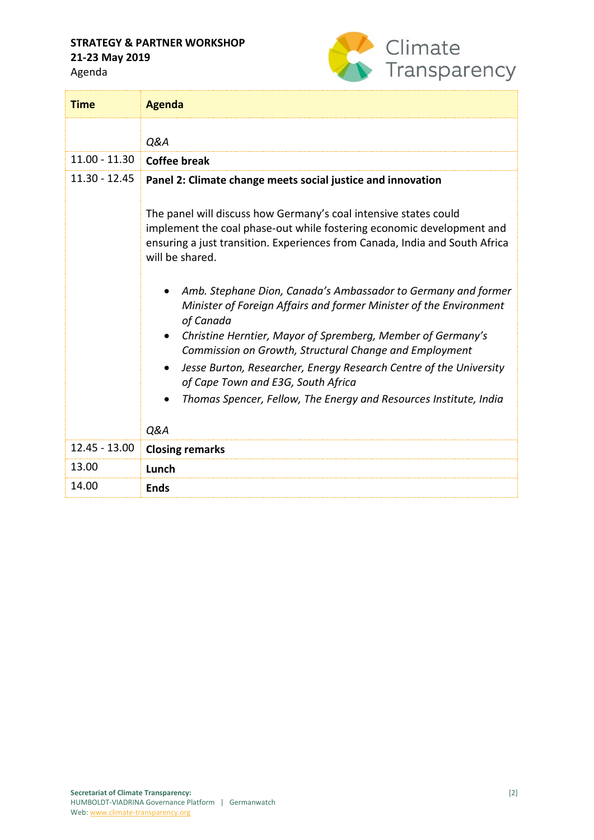# **STRATEGY & PARTNER WORKSHOP 21-23 May 2019**





| Time            | <b>Agenda</b>                                                                                                                                                                                                                                                                                                                                                                                                                                                                                                                                                                                                                                                                                       |
|-----------------|-----------------------------------------------------------------------------------------------------------------------------------------------------------------------------------------------------------------------------------------------------------------------------------------------------------------------------------------------------------------------------------------------------------------------------------------------------------------------------------------------------------------------------------------------------------------------------------------------------------------------------------------------------------------------------------------------------|
|                 | Q&A                                                                                                                                                                                                                                                                                                                                                                                                                                                                                                                                                                                                                                                                                                 |
| $11.00 - 11.30$ | <b>Coffee break</b>                                                                                                                                                                                                                                                                                                                                                                                                                                                                                                                                                                                                                                                                                 |
| 11.30 - 12.45   | Panel 2: Climate change meets social justice and innovation<br>The panel will discuss how Germany's coal intensive states could<br>implement the coal phase-out while fostering economic development and<br>ensuring a just transition. Experiences from Canada, India and South Africa<br>will be shared.<br>Amb. Stephane Dion, Canada's Ambassador to Germany and former<br>Minister of Foreign Affairs and former Minister of the Environment<br>of Canada<br>Christine Herntier, Mayor of Spremberg, Member of Germany's<br>Commission on Growth, Structural Change and Employment<br>Jesse Burton, Researcher, Energy Research Centre of the University<br>of Cape Town and E3G, South Africa |
|                 | Thomas Spencer, Fellow, The Energy and Resources Institute, India<br>Q&A                                                                                                                                                                                                                                                                                                                                                                                                                                                                                                                                                                                                                            |
| $12.45 - 13.00$ | <b>Closing remarks</b>                                                                                                                                                                                                                                                                                                                                                                                                                                                                                                                                                                                                                                                                              |
| 13.00           | Lunch                                                                                                                                                                                                                                                                                                                                                                                                                                                                                                                                                                                                                                                                                               |
| 14.00           | <b>Ends</b>                                                                                                                                                                                                                                                                                                                                                                                                                                                                                                                                                                                                                                                                                         |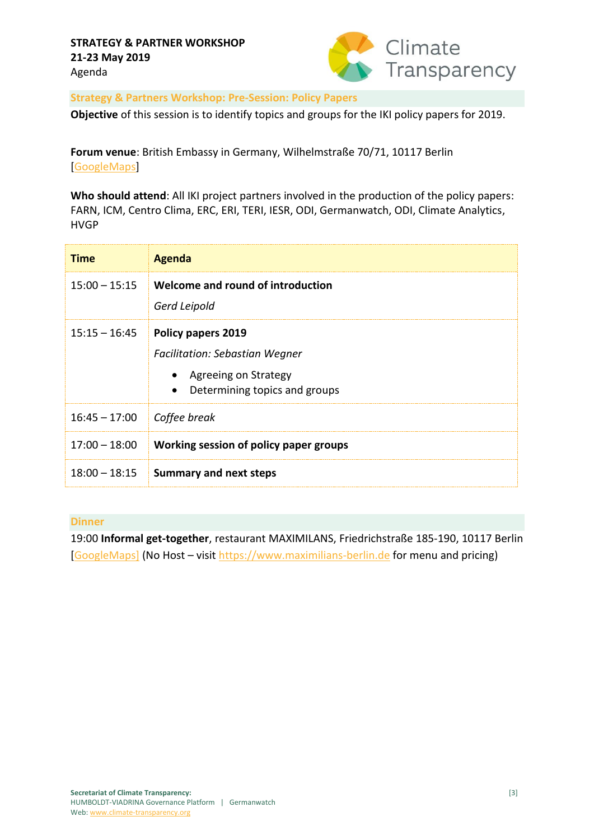

**Strategy & Partners Workshop: Pre-Session: Policy Papers**

**Objective** of this session is to identify topics and groups for the IKI policy papers for 2019.

**Forum venue**: British Embassy in Germany, Wilhelmstraße 70/71, 10117 Berlin [\[GoogleMaps\]](https://www.google.com/maps?client=firefox-b-d&q=british+embassy+berlin&um=1&ie=UTF-8&sa=X&ved=0ahUKEwisqL_WzqThAhXDCewKHb2PCWUQ_AUIDigB)

**Who should attend**: All IKI project partners involved in the production of the policy papers: FARN, ICM, Centro Clima, ERC, ERI, TERI, IESR, ODI, Germanwatch, ODI, Climate Analytics, HVGP

| <b>Time</b>     | Agenda                                                                                                                                   |
|-----------------|------------------------------------------------------------------------------------------------------------------------------------------|
| $15:00 - 15:15$ | Welcome and round of introduction<br>Gerd Leipold                                                                                        |
| $15:15 - 16:45$ | <b>Policy papers 2019</b><br><b>Facilitation: Sebastian Wegner</b><br>Agreeing on Strategy<br>Determining topics and groups<br>$\bullet$ |
| $16:45 - 17:00$ | Coffee break                                                                                                                             |
| $17:00 - 18:00$ | Working session of policy paper groups                                                                                                   |
| $18:00 - 18:15$ | <b>Summary and next steps</b>                                                                                                            |

#### **Dinner**

19:00 **Informal get-together**, restaurant MAXIMILANS, Friedrichstraße 185-190, 10117 Berlin [\[GoogleMaps\]](https://www.google.com/maps/place/Restaurant+Maximilians+Berlin/@52.5113326,13.389205,15z/data=!4m2!3m1!1s0x0:0xee7212867d17fced?sa=X&ved=2ahUKEwip_MT00aThAhWLzqQKHU0FDEwQ_BIwDXoECAgQCA) (No Host – visit [https://www.maximilians-berlin.de](https://www.maximilians-berlin.de/) for menu and pricing)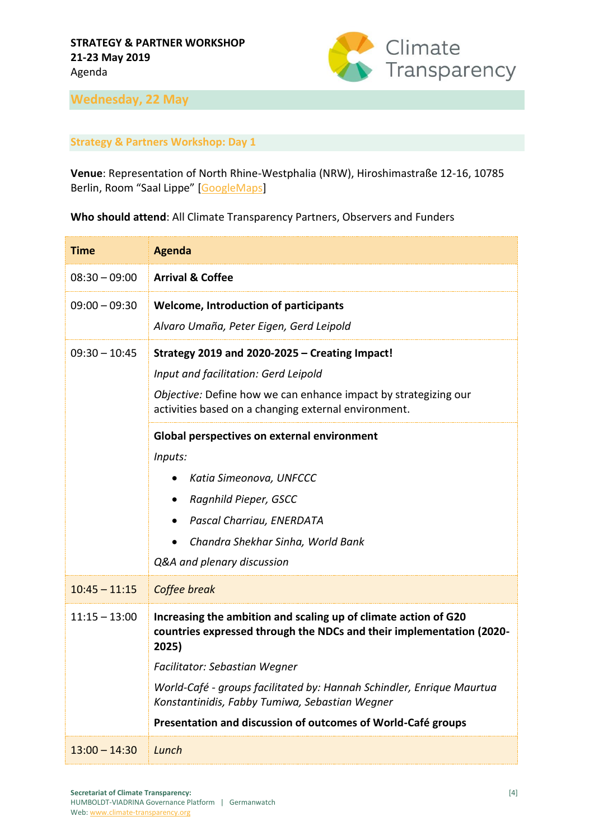

**Wednesday, 22 May**

#### **Strategy & Partners Workshop: Day 1**

**Venue**: Representation of North Rhine-Westphalia (NRW), Hiroshimastraße 12-16, 10785 Berlin, Room "Saal Lippe" [\[GoogleMaps\]](https://www.google.com/maps?client=firefox-b-d&q=Hiroshimastra%C3%9Fe+12-16&um=1&ie=UTF-8&sa=X&ved=0ahUKEwjSkJj20qThAhUQzaQKHTAPBi0Q_AUIDigB)

**Who should attend**: All Climate Transparency Partners, Observers and Funders

| Time            | <b>Agenda</b>                                                                                                                                    |
|-----------------|--------------------------------------------------------------------------------------------------------------------------------------------------|
| $08:30 - 09:00$ | <b>Arrival &amp; Coffee</b>                                                                                                                      |
| $09:00 - 09:30$ | <b>Welcome, Introduction of participants</b>                                                                                                     |
|                 | Alvaro Umaña, Peter Eigen, Gerd Leipold                                                                                                          |
| $09:30 - 10:45$ | Strategy 2019 and 2020-2025 - Creating Impact!                                                                                                   |
|                 | Input and facilitation: Gerd Leipold                                                                                                             |
|                 | Objective: Define how we can enhance impact by strategizing our<br>activities based on a changing external environment.                          |
|                 | Global perspectives on external environment                                                                                                      |
|                 | Inputs:                                                                                                                                          |
|                 | Katia Simeonova, UNFCCC                                                                                                                          |
|                 | Ragnhild Pieper, GSCC                                                                                                                            |
|                 | Pascal Charriau, ENERDATA                                                                                                                        |
|                 | Chandra Shekhar Sinha, World Bank                                                                                                                |
|                 | Q&A and plenary discussion                                                                                                                       |
| $10:45 - 11:15$ | Coffee break                                                                                                                                     |
| $11:15 - 13:00$ | Increasing the ambition and scaling up of climate action of G20<br>countries expressed through the NDCs and their implementation (2020-<br>2025) |
|                 | Facilitator: Sebastian Wegner                                                                                                                    |
|                 | World-Café - groups facilitated by: Hannah Schindler, Enrique Maurtua<br>Konstantinidis, Fabby Tumiwa, Sebastian Wegner                          |
|                 | Presentation and discussion of outcomes of World-Café groups                                                                                     |
| $13:00 - 14:30$ | Lunch                                                                                                                                            |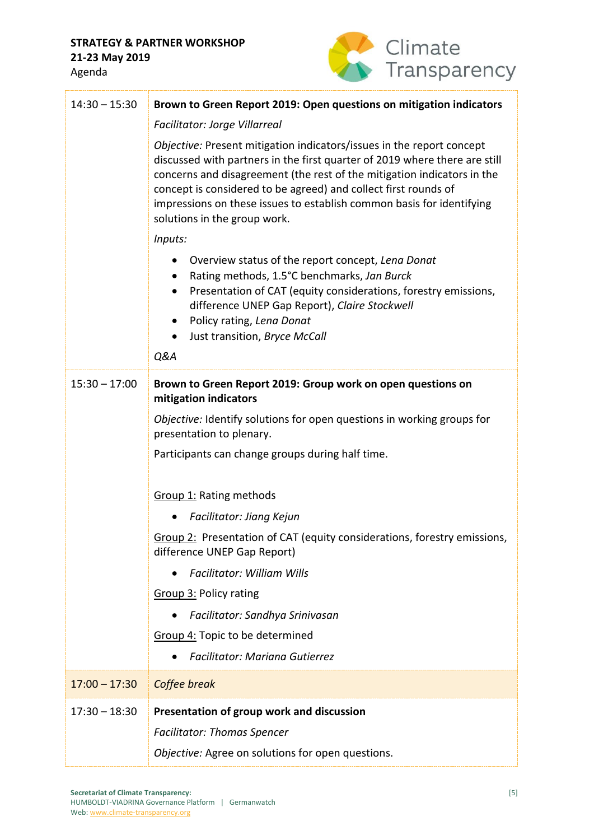### **STRATEGY & PARTNER WORKSHOP 21-23 May 2019** Agenda



| $14:30 - 15:30$ | Brown to Green Report 2019: Open questions on mitigation indicators                                                                                                                                                                                                                                                                                                                                        |
|-----------------|------------------------------------------------------------------------------------------------------------------------------------------------------------------------------------------------------------------------------------------------------------------------------------------------------------------------------------------------------------------------------------------------------------|
|                 | Facilitator: Jorge Villarreal                                                                                                                                                                                                                                                                                                                                                                              |
|                 | Objective: Present mitigation indicators/issues in the report concept<br>discussed with partners in the first quarter of 2019 where there are still<br>concerns and disagreement (the rest of the mitigation indicators in the<br>concept is considered to be agreed) and collect first rounds of<br>impressions on these issues to establish common basis for identifying<br>solutions in the group work. |
|                 | Inputs:                                                                                                                                                                                                                                                                                                                                                                                                    |
|                 | Overview status of the report concept, Lena Donat<br>$\bullet$<br>Rating methods, 1.5°C benchmarks, Jan Burck<br>Presentation of CAT (equity considerations, forestry emissions,<br>$\bullet$<br>difference UNEP Gap Report), Claire Stockwell<br>Policy rating, Lena Donat<br>$\bullet$<br>Just transition, Bryce McCall<br>Q&A                                                                           |
| $15:30 - 17:00$ | Brown to Green Report 2019: Group work on open questions on<br>mitigation indicators                                                                                                                                                                                                                                                                                                                       |
|                 | Objective: Identify solutions for open questions in working groups for<br>presentation to plenary.                                                                                                                                                                                                                                                                                                         |
|                 | Participants can change groups during half time.                                                                                                                                                                                                                                                                                                                                                           |
|                 | Group 1: Rating methods                                                                                                                                                                                                                                                                                                                                                                                    |
|                 | Facilitator: Jiang Kejun                                                                                                                                                                                                                                                                                                                                                                                   |
|                 | Group 2: Presentation of CAT (equity considerations, forestry emissions,<br>difference UNEP Gap Report)                                                                                                                                                                                                                                                                                                    |
|                 | <b>Facilitator: William Wills</b>                                                                                                                                                                                                                                                                                                                                                                          |
|                 | <b>Group 3: Policy rating</b>                                                                                                                                                                                                                                                                                                                                                                              |
|                 | Facilitator: Sandhya Srinivasan                                                                                                                                                                                                                                                                                                                                                                            |
|                 | Group 4: Topic to be determined                                                                                                                                                                                                                                                                                                                                                                            |
|                 | <b>Facilitator: Mariana Gutierrez</b>                                                                                                                                                                                                                                                                                                                                                                      |
| $17:00 - 17:30$ | Coffee break                                                                                                                                                                                                                                                                                                                                                                                               |
| $17:30 - 18:30$ | Presentation of group work and discussion                                                                                                                                                                                                                                                                                                                                                                  |
|                 | <b>Facilitator: Thomas Spencer</b>                                                                                                                                                                                                                                                                                                                                                                         |
|                 | Objective: Agree on solutions for open questions.                                                                                                                                                                                                                                                                                                                                                          |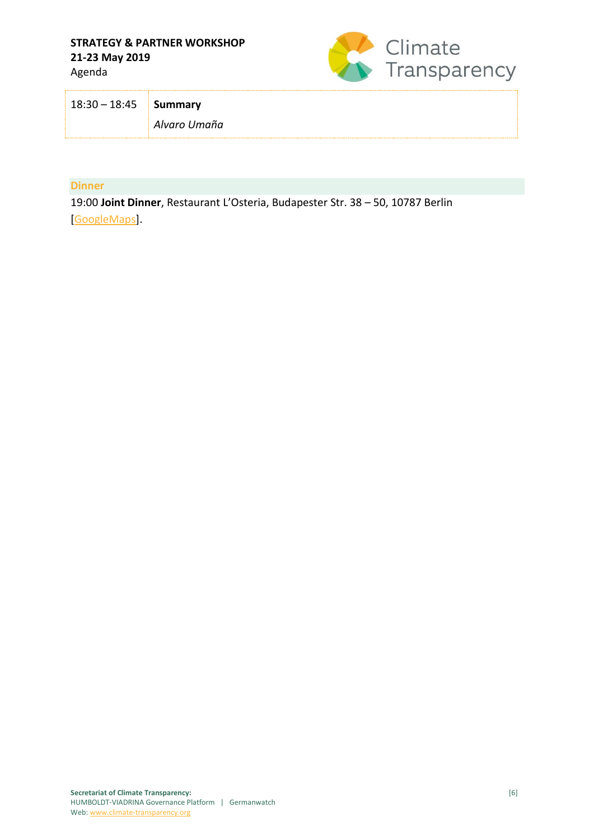#### **STRATEGY & PARTNER WORKSHOP 21-23 May 2019** Agenda



| 18:30 – 18:45 | Summary      |
|---------------|--------------|
|               | Alvaro Umaña |

#### **Dinner**

19:00 **Joint Dinner**, Restaurant L'Osteria, Budapester Str. 38 – 50, 10787 Berlin [\[GoogleMaps\]](https://www.google.com/maps?client=firefox-b-d&q=Budapester+Str.+38+%E2%80%93+50+osteria&um=1&ie=UTF-8&sa=X&ved=0ahUKEwijkdGqzaThAhXOyqQKHZtGCfsQ_AUIDigB).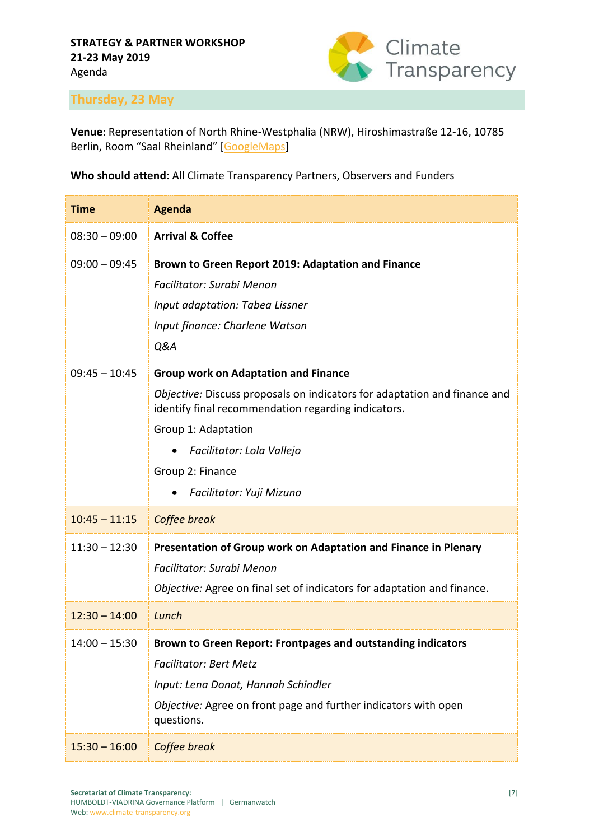

**Thursday, 23 May**

**Venue**: Representation of North Rhine-Westphalia (NRW), Hiroshimastraße 12-16, 10785 Berlin, Room "Saal Rheinland" [\[GoogleMaps\]](https://www.google.com/maps?client=firefox-b-d&q=Hiroshimastra%C3%9Fe+12-16&um=1&ie=UTF-8&sa=X&ved=0ahUKEwjSkJj20qThAhUQzaQKHTAPBi0Q_AUIDigB)

## **Who should attend**: All Climate Transparency Partners, Observers and Funders

| <b>Time</b>     | <b>Agenda</b>                                                                                                                                                                                                                                                                              |
|-----------------|--------------------------------------------------------------------------------------------------------------------------------------------------------------------------------------------------------------------------------------------------------------------------------------------|
| $08:30 - 09:00$ | <b>Arrival &amp; Coffee</b>                                                                                                                                                                                                                                                                |
| $09:00 - 09:45$ | Brown to Green Report 2019: Adaptation and Finance<br>Facilitator: Surabi Menon<br>Input adaptation: Tabea Lissner<br>Input finance: Charlene Watson<br>Q&A                                                                                                                                |
| $09:45 - 10:45$ | <b>Group work on Adaptation and Finance</b><br>Objective: Discuss proposals on indicators for adaptation and finance and<br>identify final recommendation regarding indicators.<br><b>Group 1: Adaptation</b><br>Facilitator: Lola Vallejo<br>Group 2: Finance<br>Facilitator: Yuji Mizuno |
| $10:45 - 11:15$ | Coffee break                                                                                                                                                                                                                                                                               |
| $11:30 - 12:30$ | Presentation of Group work on Adaptation and Finance in Plenary<br>Facilitator: Surabi Menon<br>Objective: Agree on final set of indicators for adaptation and finance.                                                                                                                    |
| $12:30 - 14:00$ | Lunch                                                                                                                                                                                                                                                                                      |
| $14:00 - 15:30$ | Brown to Green Report: Frontpages and outstanding indicators<br><b>Facilitator: Bert Metz</b><br>Input: Lena Donat, Hannah Schindler<br>Objective: Agree on front page and further indicators with open<br>questions.                                                                      |
| $15:30 - 16:00$ | Coffee break                                                                                                                                                                                                                                                                               |